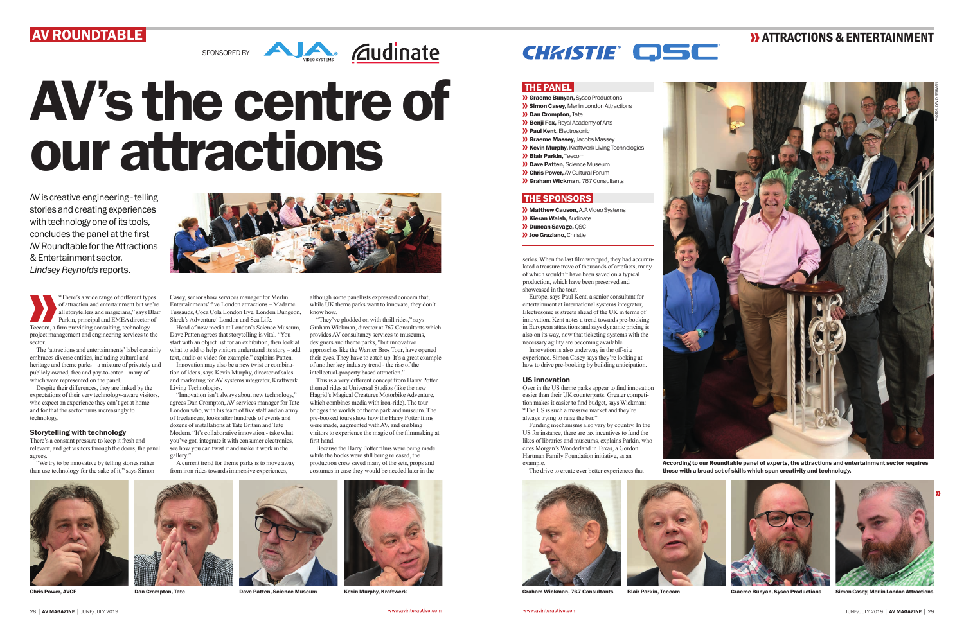# AV ROUNDTABLE



"There's a wide range of different types of attraction and entertainment but we're all storytellers and magicians," says Blair Parkin, principal and EMEA director of Teecom, a firm providing consulting, technology project management and engineering services to the sector.

There's a constant pressure to keep it fresh and relevant, and get visitors through the doors, the panel agrees

The 'attractions and entertainments' label certainly embraces diverse entities, including cultural and heritage and theme parks – a mixture of privately and publicly owned, free and pay-to-enter – many of which were represented on the panel.

Despite their differences, they are linked by the expectations of their very technology-aware visitors, who expect an experience they can't get at home – and for that the sector turns increasingly to technology.

## Storytelling with technology

"We try to be innovative by telling stories rather than use technology for the sake of it," says Simon



SPONSORED BY **All SPONSORED BY** 

AV is creative engineering - telling stories and creating experiences with technology one of its tools, concludes the panel at the first AV Roundtable for the Attractions & Entertainment sector. *Lindsey Reynolds* reports.

> gallery." A current trend for theme parks is to move away from iron rides towards immersive experiences,

Casey, senior show services manager for Merlin Entertainments' five London attractions – Madame Tussauds, Coca Cola London Eye, London Dungeon, Shrek's Adventure! London and Sea Life.

Head of new media at London's Science Museum, Dave Patten agrees that storytelling is vital. "You start with an object list for an exhibition, then look at what to add to help visitors understand its story – add text, audio or video for example," explains Patten.

"They've plodded on with thrill rides," says Graham Wickman, director at 767 Consultants which provides AV consultancy services to museums, designers and theme parks, "but innovative approaches like the Warner Bros Tour, have opened their eyes. They have to catch up. It's a great example of another key industry trend - the rise of the intellectual-property based attraction."

Innovation may also be a new twist or combination of ideas, says Kevin Murphy, director of sales and marketing for AV systems integrator, Kraftwerk Living Technologies.

"Innovation isn't always about new technology," agrees Dan Crompton, AV services manager for Tate London who, with his team of five staff and an army of freelancers, looks after hundreds of events and dozens of installations at Tate Britain and Tate Modern. "It's collaborative innovation - take what you've got, integrate it with consumer electronics, see how you can twist it and make it work in the



- **X** Graeme Bunyan, Sysco Productions
- **>>** Simon Casey, Merlin London Attractions
- **X** Dan Crompton, Tate
- **Benji Fox, Royal Academy of Arts**
- **>>>** Paul Kent, Electrosonic
- **XX Graeme Massey, Jacobs Massey**
- **XX** Kevin Murphy, Kraftwerk Living Technologies
- **>>**Blair Parkin, Teecom
- **X** Dave Patten, Science Museum
- **X** Chris Power, AV Cultural Forum
- **X** Graham Wickman, 767 Consultants

## **THE SPONSORS**

- **XX** Matthew Causon, AJA Video Systems
- **X** Kieran Walsh, Audinate
- **Duncan Savage, QSC**
- **X** Joe Graziano, Christie



According to our Roundtable panel of experts, the attractions and entertainment sector requires those with a broad set of skills which span creativity and technology.







Chris Power, AVCF Dan Crompton, Tate Dave Patten, Science Museum Kevin Murphy, Kraftwerk Graham Wickman, 767 Consultants Blair Parkin, Teecom Graeme Bunyan, Sysco Productions Simon Casey, Merlin London Attractions

although some panellists expressed concern that, while UK theme parks want to innovate, they don't know how.

This is a very different concept from Harry Potter themed rides at Universal Studios (like the new Hagrid's Magical Creatures Motorbike Adventure, which combines media with iron-ride). The tour bridges the worlds of theme park and museum. The pre-booked tours show how the Harry Potter films were made, augmented with AV, and enabling visitors to experience the magic of the filmmaking at first hand.

Because the Harry Potter films were being made while the books were still being released, the production crew saved many of the sets, props and costumes in case they would be needed later in the



series. When the last film wrapped, they had accumulated a treasure trove of thousands of artefacts, many of which wouldn't have been saved on a typical production, which have been preserved and showcased in the tour.

Europe, says Paul Kent, a senior consultant for entertainment at international systems integrator, Electrosonic is streets ahead of the UK in terms of innovation. Kent notes a trend towards pre-booking in European attractions and says dynamic pricing is also on its way, now that ticketing systems with the necessary agility are becoming available.

Innovation is also underway in the off-site experience. Simon Casey says they're looking at how to drive pre-booking by building anticipation.

## US innovation

Over in the US theme parks appear to find innovation easier than their UK counterparts. Greater competition makes it easier to find budget, says Wickman: "The US is such a massive market and they're always trying to raise the bar."

Funding mechanisms also vary by country. In the US for instance, there are tax incentives to fund the likes of libraries and museums, explains Parkin, who cites Morgan's Wonderland in Texas, a Gordon Hartman Family Foundation initiative, as an example.

The drive to create ever better experiences that











## **>> ATTRACTIONS & ENTERTAINMENT**